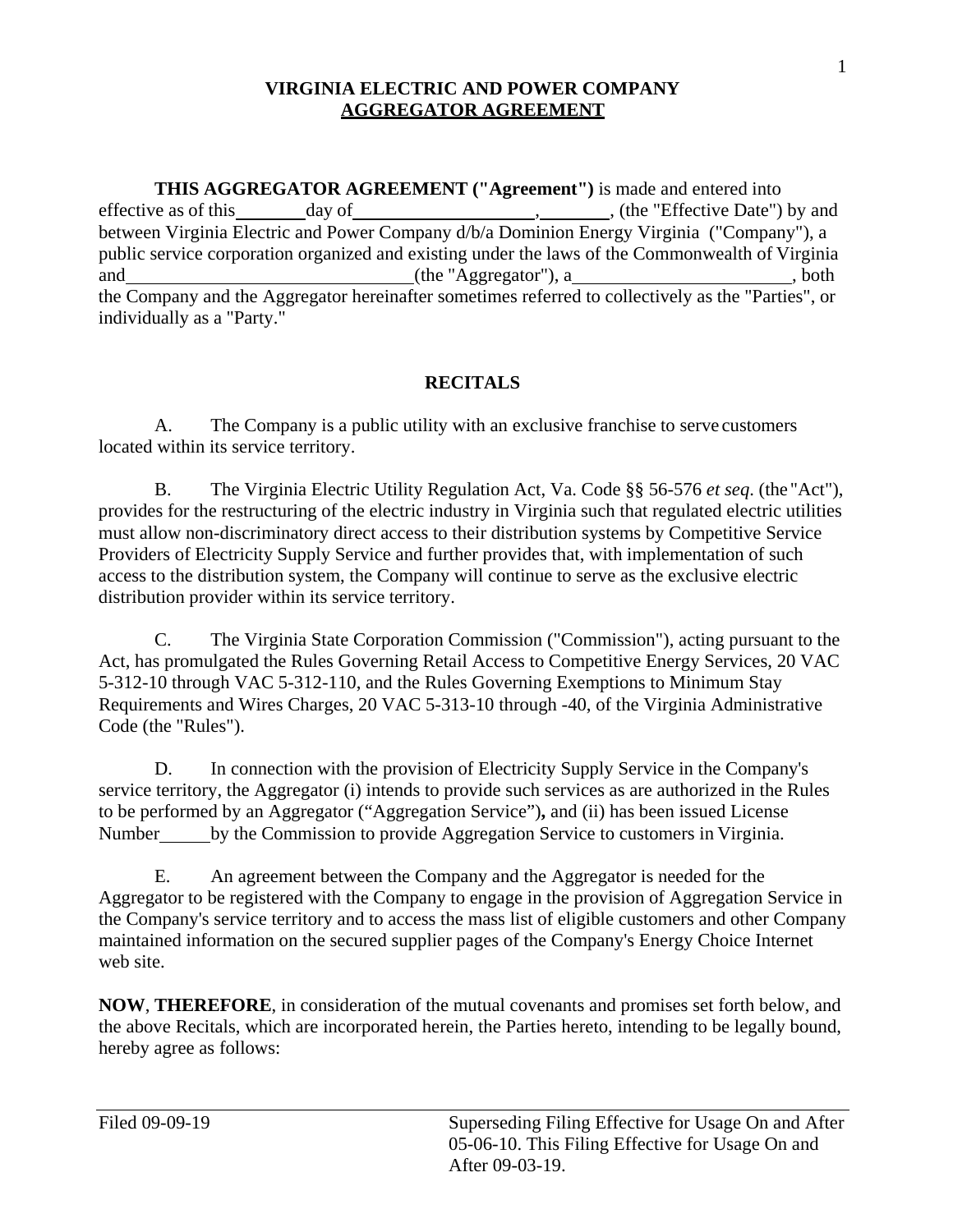**THIS AGGREGATOR AGREEMENT ("Agreement")** is made and entered into effective as of this public service corporation organized and existing under the laws of the Commonwealth of Virginia and individually as a "Party." effective as of this day of , , (the "Effective Date") by and between Virginia Electric and Power Company d/b/a Dominion Energy Virginia ("Company"), a (the "Aggregator"), a , both the Company and the Aggregator hereinafter sometimes referred to collectively as the "Parties", or

## **RECITALS**

 A. The Company is a public utility with an exclusive franchise to serve customers located within its service territory.

 provides for the restructuring of the electric industry in Virginia such that regulated electric utilities distribution provider within its service territory. B. The Virginia Electric Utility Regulation Act, Va. Code §§ 56-576 *et seq*. (the "Act"), must allow non-discriminatory direct access to their distribution systems by Competitive Service Providers of Electricity Supply Service and further provides that, with implementation of such access to the distribution system, the Company will continue to serve as the exclusive electric

 Code (the "Rules"). C. The Virginia State Corporation Commission ("Commission"), acting pursuant to the Act, has promulgated the Rules Governing Retail Access to Competitive Energy Services, 20 VAC 5-312-10 through VAC 5-312-110, and the Rules Governing Exemptions to Minimum Stay Requirements and Wires Charges, 20 VAC 5-313-10 through -40, of the Virginia Administrative

Number by the Commission to provide Aggregation Service to customers in Virginia. D. In connection with the provision of Electricity Supply Service in the Company's service territory, the Aggregator (i) intends to provide such services as are authorized in the Rules to be performed by an Aggregator ("Aggregation Service")**,** and (ii) has been issued License

 the Company's service territory and to access the mass list of eligible customers and other Company maintained information on the secured supplier pages of the Company's Energy Choice Internet web site. E. An agreement between the Company and the Aggregator is needed for the Aggregator to be registered with the Company to engage in the provision of Aggregation Service in

**NOW**, **THEREFORE**, in consideration of the mutual covenants and promises set forth below, and the above Recitals, which are incorporated herein, the Parties hereto, intending to be legally bound, hereby agree as follows: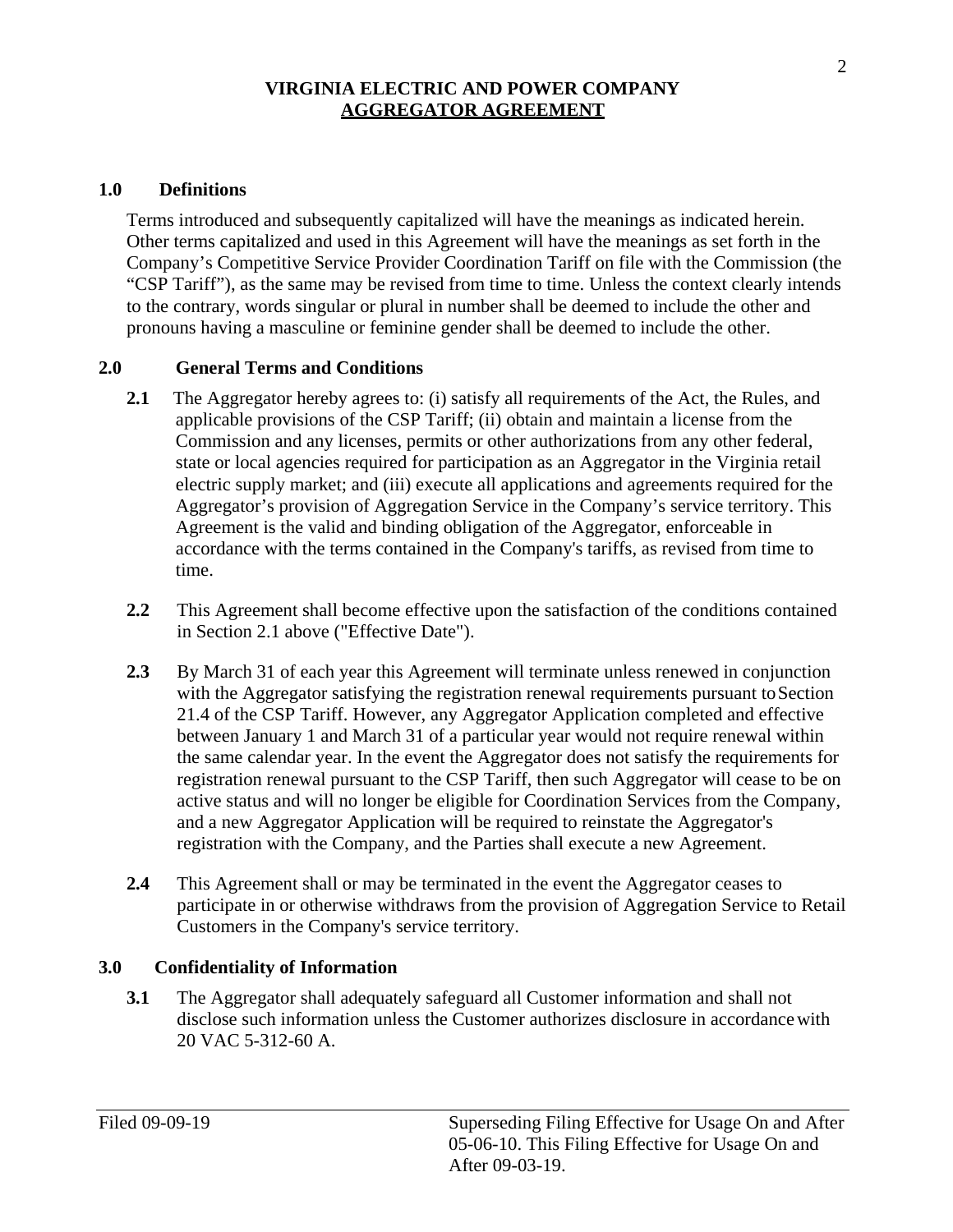#### **1.0 Definitions**

Terms introduced and subsequently capitalized will have the meanings as indicated herein. Other terms capitalized and used in this Agreement will have the meanings as set forth in the Company's Competitive Service Provider Coordination Tariff on file with the Commission (the "CSP Tariff"), as the same may be revised from time to time. Unless the context clearly intends to the contrary, words singular or plural in number shall be deemed to include the other and pronouns having a masculine or feminine gender shall be deemed to include the other.

#### **2.0 General Terms and Conditions**

- **2.1** The Aggregator hereby agrees to: (i) satisfy all requirements of the Act, the Rules, and applicable provisions of the CSP Tariff; (ii) obtain and maintain a license from the Commission and any licenses, permits or other authorizations from any other federal, state or local agencies required for participation as an Aggregator in the Virginia retail electric supply market; and (iii) execute all applications and agreements required for the Aggregator's provision of Aggregation Service in the Company's service territory. This Agreement is the valid and binding obligation of the Aggregator, enforceable in accordance with the terms contained in the Company's tariffs, as revised from time to time.
- in Section 2.1 above ("Effective Date"). **2.2** This Agreement shall become effective upon the satisfaction of the conditions contained
- with the Aggregator satisfying the registration renewal requirements pursuant to Section **2.3** By March 31 of each year this Agreement will terminate unless renewed in conjunction 21.4 of the CSP Tariff. However, any Aggregator Application completed and effective between January 1 and March 31 of a particular year would not require renewal within the same calendar year. In the event the Aggregator does not satisfy the requirements for registration renewal pursuant to the CSP Tariff, then such Aggregator will cease to be on active status and will no longer be eligible for Coordination Services from the Company, and a new Aggregator Application will be required to reinstate the Aggregator's registration with the Company, and the Parties shall execute a new Agreement.
- **2.4** This Agreement shall or may be terminated in the event the Aggregator ceases to Customers in the Company's service territory. participate in or otherwise withdraws from the provision of Aggregation Service to Retail

### **3.0 Confidentiality of Information**

**3.1** The Aggregator shall adequately safeguard all Customer information and shall not disclose such information unless the Customer authorizes disclosure in accordancewith 20 VAC 5-312-60 A.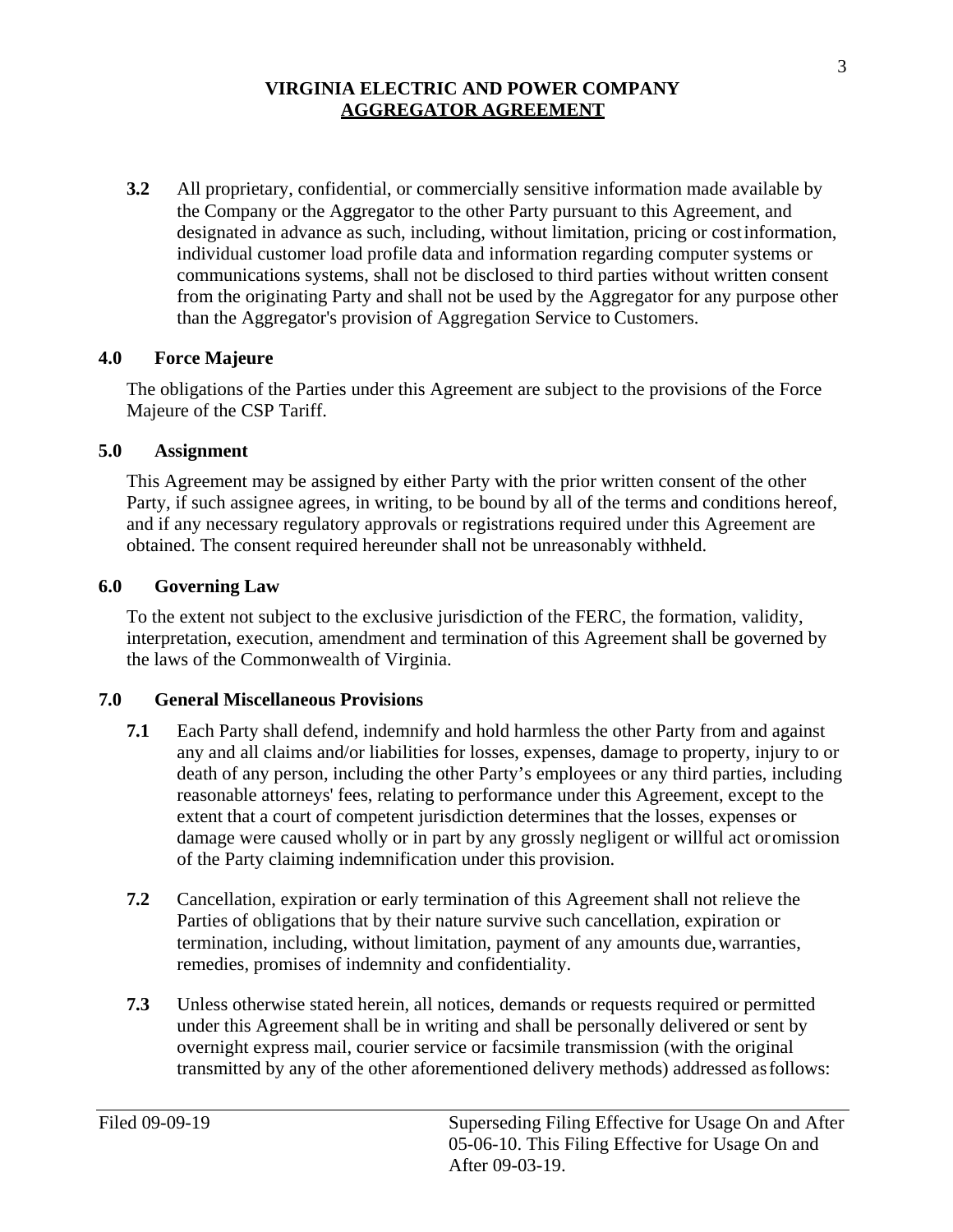the Company or the Aggregator to the other Party pursuant to this Agreement, and than the Aggregator's provision of Aggregation Service to Customers. **3.2** All proprietary, confidential, or commercially sensitive information made available by designated in advance as such, including, without limitation, pricing or costinformation, individual customer load profile data and information regarding computer systems or communications systems, shall not be disclosed to third parties without written consent from the originating Party and shall not be used by the Aggregator for any purpose other

### **4.0 Force Majeure**

The obligations of the Parties under this Agreement are subject to the provisions of the Force Majeure of the CSP Tariff.

### **5.0 Assignment**

 and if any necessary regulatory approvals or registrations required under this Agreement are This Agreement may be assigned by either Party with the prior written consent of the other Party, if such assignee agrees, in writing, to be bound by all of the terms and conditions hereof, obtained. The consent required hereunder shall not be unreasonably withheld.

## **6.0 Governing Law**

To the extent not subject to the exclusive jurisdiction of the FERC, the formation, validity, interpretation, execution, amendment and termination of this Agreement shall be governed by the laws of the Commonwealth of Virginia.

## **7.0 General Miscellaneous Provisions**

- reasonable attorneys' fees, relating to performance under this Agreement, except to the extent that a court of competent jurisdiction determines that the losses, expenses or damage were caused wholly or in part by any grossly negligent or willful act oromission of the Party claiming indemnification under this provision. **7.1** Each Party shall defend, indemnify and hold harmless the other Party from and against any and all claims and/or liabilities for losses, expenses, damage to property, injury to or death of any person, including the other Party's employees or any third parties, including
- **7.2** Cancellation, expiration or early termination of this Agreement shall not relieve the Parties of obligations that by their nature survive such cancellation, expiration or termination, including, without limitation, payment of any amounts due,warranties, remedies, promises of indemnity and confidentiality.
- **7.3** Unless otherwise stated herein, all notices, demands or requests required or permitted transmitted by any of the other aforementioned delivery methods) addressed as follows: under this Agreement shall be in writing and shall be personally delivered or sent by overnight express mail, courier service or facsimile transmission (with the original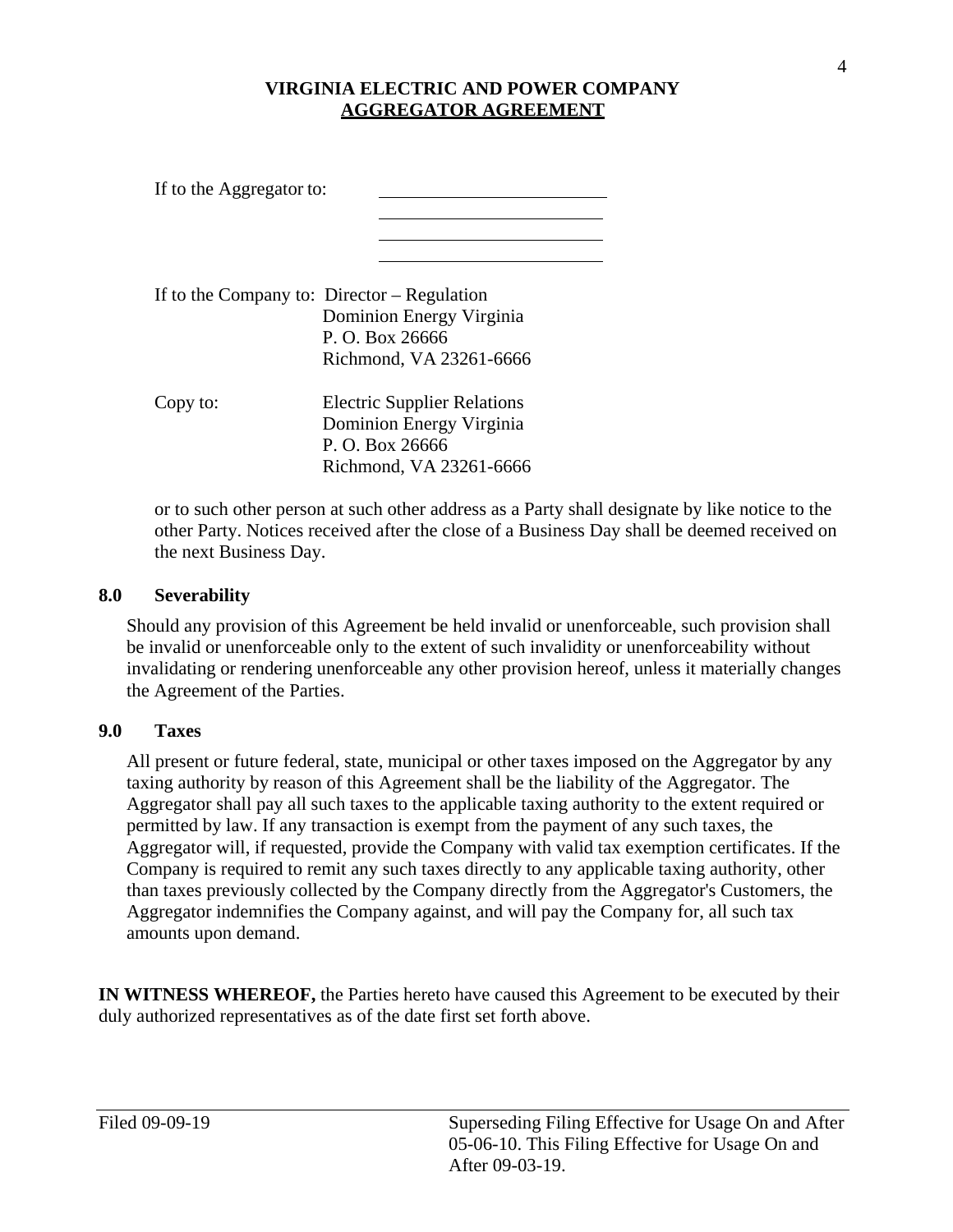| If to the Aggregator to: |                                                                                                                         |
|--------------------------|-------------------------------------------------------------------------------------------------------------------------|
|                          | If to the Company to: $Director - Regulation$<br>Dominion Energy Virginia<br>P. O. Box 26666<br>Richmond, VA 23261-6666 |
| Copy to:                 | <b>Electric Supplier Relations</b><br>Dominion Energy Virginia<br>P. O. Box 26666<br>Richmond, VA 23261-6666            |

or to such other person at such other address as a Party shall designate by like notice to the other Party. Notices received after the close of a Business Day shall be deemed received on the next Business Day.

### **8.0 Severability**

Should any provision of this Agreement be held invalid or unenforceable, such provision shall be invalid or unenforceable only to the extent of such invalidity or unenforceability without invalidating or rendering unenforceable any other provision hereof, unless it materially changes the Agreement of the Parties.

#### **9.0 Taxes**

 All present or future federal, state, municipal or other taxes imposed on the Aggregator by any Aggregator shall pay all such taxes to the applicable taxing authority to the extent required or taxing authority by reason of this Agreement shall be the liability of the Aggregator. The permitted by law. If any transaction is exempt from the payment of any such taxes, the Aggregator will, if requested, provide the Company with valid tax exemption certificates. If the Company is required to remit any such taxes directly to any applicable taxing authority, other than taxes previously collected by the Company directly from the Aggregator's Customers, the Aggregator indemnifies the Company against, and will pay the Company for, all such tax amounts upon demand.

 **IN WITNESS WHEREOF,** the Parties hereto have caused this Agreement to be executed by their duly authorized representatives as of the date first set forth above.